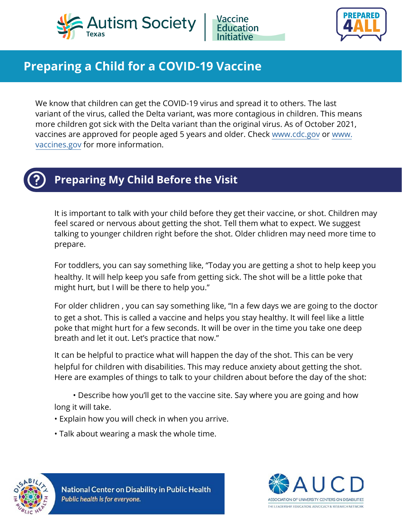



# **Preparing a Child for a COVID-19 Vaccine**

We know that children can get the COVID-19 virus and spread it to others. The last variant of the virus, called the Delta variant, was more contagious in children. This means more children got sick with the Delta variant than the original virus. As of October 2021, vaccines are approved for people aged 5 years and older. Check www.cdc.gov or www. vaccines.gov for more information.



## **Preparing My Child Before the Visit**

It is important to talk with your child before they get their vaccine, or shot. Children may feel scared or nervous about getting the shot. Tell them what to expect. We suggest talking to younger children right before the shot. Older chlidren may need more time to prepare.

For toddlers, you can say something like, "Today you are getting a shot to help keep you healthy. It will help keep you safe from getting sick. The shot will be a little poke that might hurt, but I will be there to help you."

For older chlidren , you can say something like, "In a few days we are going to the doctor to get a shot. This is called a vaccine and helps you stay healthy. It will feel like a little poke that might hurt for a few seconds. It will be over in the time you take one deep breath and let it out. Let's practice that now."

It can be helpful to practice what will happen the day of the shot. This can be very helpful for children with disabilities. This may reduce anxiety about getting the shot. Here are examples of things to talk to your children about before the day of the shot:

• Describe how you'll get to the vaccine site. Say where you are going and how long it will take.

• Explain how you will check in when you arrive.

• Talk about wearing a mask the whole time.



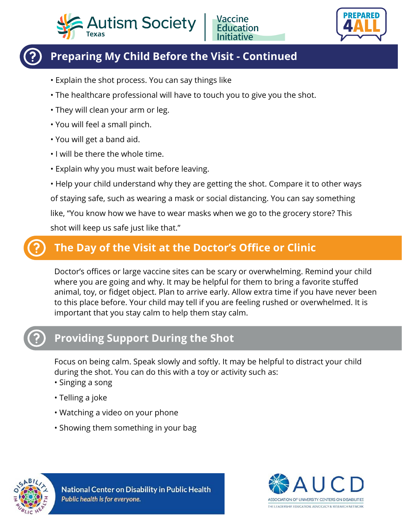



## **Preparing My Child Before the Visit - Continued**

- Explain the shot process. You can say things like
- The healthcare professional will have to touch you to give you the shot.
- They will clean your arm or leg.
- You will feel a small pinch.
- You will get a band aid.
- I will be there the whole time.
- Explain why you must wait before leaving.
- Help your child understand why they are getting the shot. Compare it to other ways of staying safe, such as wearing a mask or social distancing. You can say something like, "You know how we have to wear masks when we go to the grocery store? This shot will keep us safe just like that."

## **The Day of the Visit at the Doctor's Office or Clinic**

Doctor's offices or large vaccine sites can be scary or overwhelming. Remind your child where you are going and why. It may be helpful for them to bring a favorite stuffed animal, toy, or fidget object. Plan to arrive early. Allow extra time if you have never been to this place before. Your child may tell if you are feeling rushed or overwhelmed. It is important that you stay calm to help them stay calm.

## **Providing Support During the Shot**

Focus on being calm. Speak slowly and softly. It may be helpful to distract your child during the shot. You can do this with a toy or activity such as:

- Singing a song
- Telling a joke
- Watching a video on your phone
- Showing them something in your bag